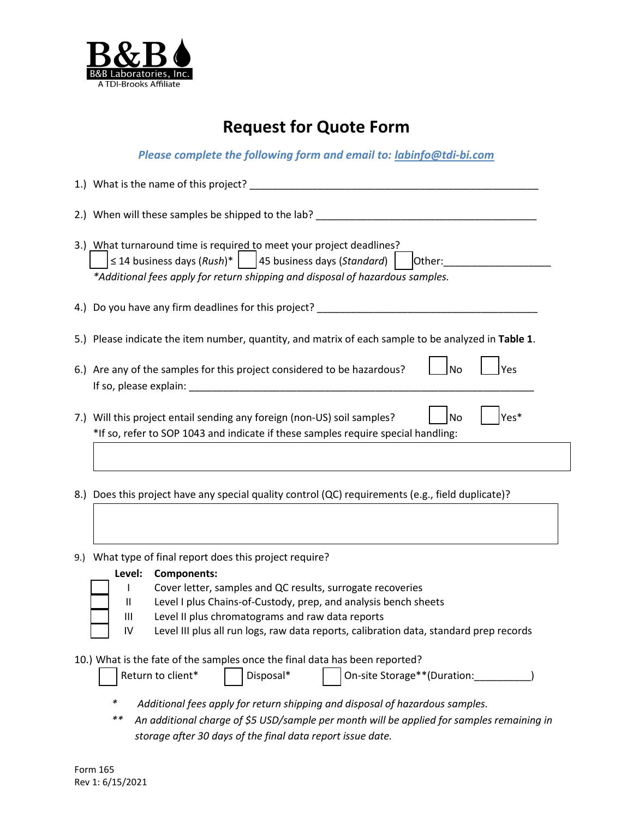

# **Request for Quote Form**

*Please complete the following form and email to: [labinfo@tdi-bi.com](mailto:labinfo@tdi-bi.com)*

| 1.) What is the name of this project?                                                                                                                                                                                                                                                                                   |
|-------------------------------------------------------------------------------------------------------------------------------------------------------------------------------------------------------------------------------------------------------------------------------------------------------------------------|
| 2.) When will these samples be shipped to the lab? Letterman the same state of the same state of the same state of the state of the state of the state of the state of the state of the state of the state of the state of the                                                                                          |
| 3.) What turnaround time is required to meet your project deadlines?<br>$\leq$ 14 business days (Rush)*   45 business days (Standard)  <br>Other:<br>*Additional fees apply for return shipping and disposal of hazardous samples.                                                                                      |
| 4.) Do you have any firm deadlines for this project?                                                                                                                                                                                                                                                                    |
| 5.) Please indicate the item number, quantity, and matrix of each sample to be analyzed in Table 1.                                                                                                                                                                                                                     |
| 6.) Are any of the samples for this project considered to be hazardous?<br>lNo<br>Yes<br>If so, please explain: Note and the same state of the state of the state of the state of the state of the state of the state of the state of the state of the state of the state of the state of the state of the state of the |
| Yes*<br>7.) Will this project entail sending any foreign (non-US) soil samples?<br>No<br>*If so, refer to SOP 1043 and indicate if these samples require special handling:                                                                                                                                              |
| 8.) Does this project have any special quality control (QC) requirements (e.g., field duplicate)?                                                                                                                                                                                                                       |

9.) What type of final report does this project require?

| Level: | <b>Components:</b> |
|--------|--------------------|
|--------|--------------------|

- I Cover letter, samples and QC results, surrogate recoveries
- II Level I plus Chains-of-Custody, prep, and analysis bench sheets
- III Level II plus chromatograms and raw data reports
- IV Level III plus all run logs, raw data reports, calibration data, standard prep records

10.) What is the fate of the samples once the final data has been reported?

| Return to client* | I Disposal* | On-site Storage**(Duration: |
|-------------------|-------------|-----------------------------|
|                   |             |                             |

- *\* Additional fees apply for return shipping and disposal of hazardous samples.*
- *\*\* An additional charge of \$5 USD/sample per month will be applied for samples remaining in storage after 30 days of the final data report issue date.*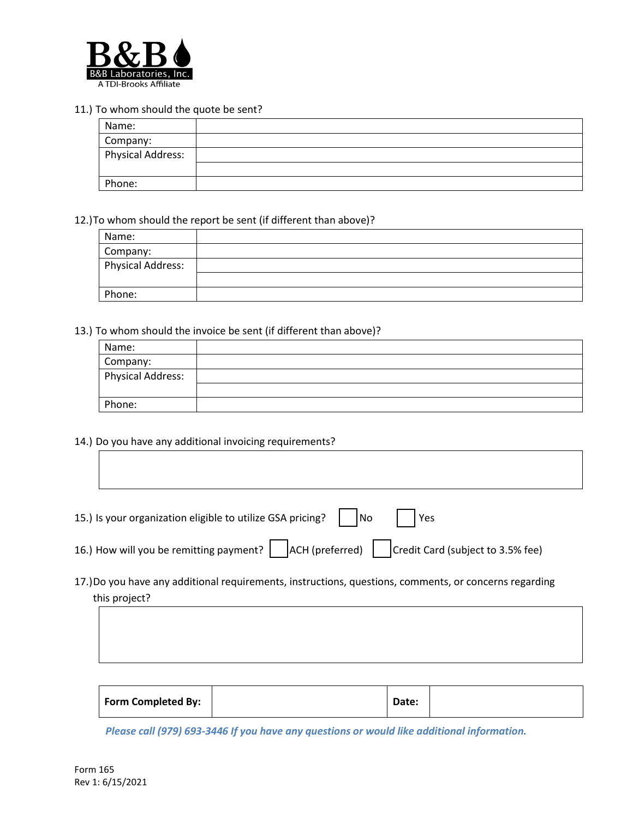

### 11.) To whom should the quote be sent?

| Name:                    |  |
|--------------------------|--|
| Company:                 |  |
| <b>Physical Address:</b> |  |
|                          |  |
| Phone:                   |  |

### 12.)To whom should the report be sent (if different than above)?

| Name:                    |  |
|--------------------------|--|
| Company:                 |  |
| <b>Physical Address:</b> |  |
|                          |  |
| Phone:                   |  |

### 13.) To whom should the invoice be sent (if different than above)?

| Name:                    |  |
|--------------------------|--|
| Company:                 |  |
| <b>Physical Address:</b> |  |
|                          |  |
| Phone:                   |  |

## 14.) Do you have any additional invoicing requirements?

| 15.) Is your organization eligible to utilize GSA pricing? $\Box$ No $\Box$ Yes |  |  |
|---------------------------------------------------------------------------------|--|--|
|                                                                                 |  |  |

- 16.) How will you be remitting payment?  $\vert$   $\vert$  ACH (preferred)  $\vert$   $\vert$  Credit Card (subject to 3.5% fee)
- 17.)Do you have any additional requirements, instructions, questions, comments, or concerns regarding this project?

| Form Completed By: |  | Date: |  |
|--------------------|--|-------|--|
|--------------------|--|-------|--|

*Please call (979) 693-3446 If you have any questions or would like additional information.*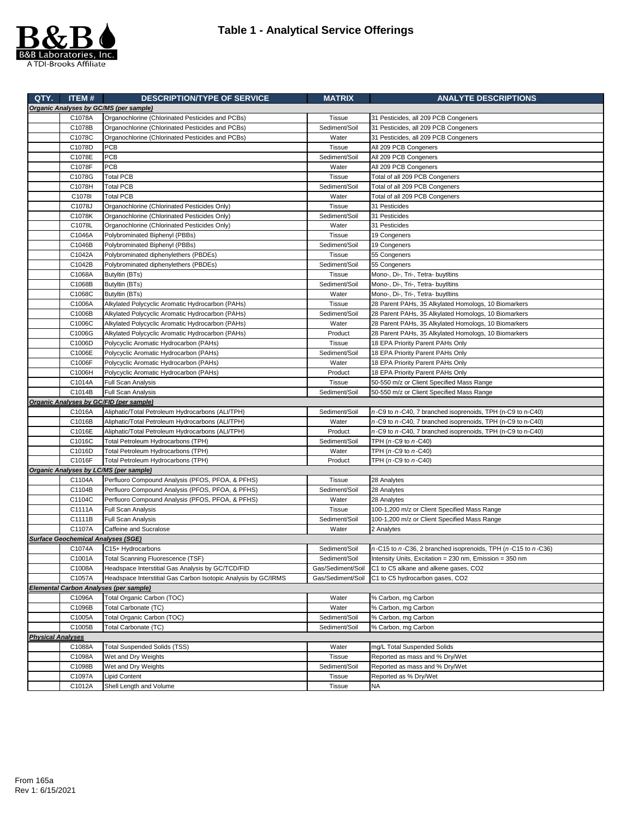

|                          | QTY. ITEM#                                | <b>DESCRIPTION/TYPE OF SERVICE</b>                             | <b>MATRIX</b>     | <b>ANALYTE DESCRIPTIONS</b>                                               |  |  |  |
|--------------------------|-------------------------------------------|----------------------------------------------------------------|-------------------|---------------------------------------------------------------------------|--|--|--|
|                          |                                           | Organic Analyses by GC/MS (per sample)                         |                   |                                                                           |  |  |  |
|                          | C1078A                                    | Organochlorine (Chlorinated Pesticides and PCBs)               | <b>Tissue</b>     | 31 Pesticides, all 209 PCB Congeners                                      |  |  |  |
|                          | C1078B                                    | Organochlorine (Chlorinated Pesticides and PCBs)               | Sediment/Soil     | 31 Pesticides, all 209 PCB Congeners                                      |  |  |  |
|                          | C1078C                                    | Organochlorine (Chlorinated Pesticides and PCBs)               | Water             | 31 Pesticides, all 209 PCB Congeners                                      |  |  |  |
|                          | C1078D                                    | <b>PCB</b>                                                     | <b>Tissue</b>     | All 209 PCB Congeners                                                     |  |  |  |
|                          | C1078E                                    | <b>PCB</b>                                                     | Sediment/Soil     | All 209 PCB Congeners                                                     |  |  |  |
|                          | C1078F                                    | PCB                                                            | Water             | All 209 PCB Congeners                                                     |  |  |  |
|                          | C1078G                                    | <b>Total PCB</b>                                               | <b>Tissue</b>     | Total of all 209 PCB Congeners                                            |  |  |  |
|                          | C1078H                                    | <b>Total PCB</b>                                               | Sediment/Soil     | Total of all 209 PCB Congeners                                            |  |  |  |
|                          | C1078I                                    | <b>Total PCB</b>                                               | Water             | Total of all 209 PCB Congeners                                            |  |  |  |
|                          | C1078J                                    | Organochlorine (Chlorinated Pesticides Only)                   | Tissue            | 31 Pesticides                                                             |  |  |  |
|                          | C1078K                                    | Organochlorine (Chlorinated Pesticides Only)                   | Sediment/Soil     | 31 Pesticides                                                             |  |  |  |
|                          | C1078L                                    | Organochlorine (Chlorinated Pesticides Only)                   | Water             | 31 Pesticides                                                             |  |  |  |
|                          | C1046A                                    | Polybrominated Biphenyl (PBBs)                                 | <b>Tissue</b>     | 19 Congeners                                                              |  |  |  |
|                          | C1046B                                    | Polybrominated Biphenyl (PBBs)                                 | Sediment/Soil     | 19 Congeners                                                              |  |  |  |
|                          | C1042A                                    | Polybrominated diphenylethers (PBDEs)                          | <b>Tissue</b>     | 55 Congeners                                                              |  |  |  |
|                          | C1042B                                    | Polybrominated diphenylethers (PBDEs)                          | Sediment/Soil     | 55 Congeners                                                              |  |  |  |
|                          | C1068A                                    | Butyltin (BTs)                                                 | <b>Tissue</b>     | Mono-, Di-, Tri-, Tetra- buytItins                                        |  |  |  |
|                          | C1068B                                    | Butyltin (BTs)                                                 | Sediment/Soil     | Mono-, Di-, Tri-, Tetra- buytItins                                        |  |  |  |
|                          | C1068C                                    | Butyltin (BTs)                                                 | Water             | Mono-, Di-, Tri-, Tetra- buytItins                                        |  |  |  |
|                          | C1006A                                    | Alkylated Polycyclic Aromatic Hydrocarbon (PAHs)               | <b>Tissue</b>     | 28 Parent PAHs, 35 Alkylated Homologs, 10 Biomarkers                      |  |  |  |
|                          | C1006B                                    | Alkylated Polycyclic Aromatic Hydrocarbon (PAHs)               | Sediment/Soil     | 28 Parent PAHs, 35 Alkylated Homologs, 10 Biomarkers                      |  |  |  |
|                          | C1006C                                    | Alkylated Polycyclic Aromatic Hydrocarbon (PAHs)               | Water             | 28 Parent PAHs, 35 Alkylated Homologs, 10 Biomarkers                      |  |  |  |
|                          | C1006G                                    | Alkylated Polycyclic Aromatic Hydrocarbon (PAHs)               | Product           | 28 Parent PAHs, 35 Alkylated Homologs, 10 Biomarkers                      |  |  |  |
|                          | C1006D                                    | Polycyclic Aromatic Hydrocarbon (PAHs)                         | Tissue            | 18 EPA Priority Parent PAHs Only                                          |  |  |  |
|                          | C1006E                                    | Polycyclic Aromatic Hydrocarbon (PAHs)                         | Sediment/Soil     | 18 EPA Priority Parent PAHs Only                                          |  |  |  |
|                          | C1006F                                    | Polycyclic Aromatic Hydrocarbon (PAHs)                         | Water             | 18 EPA Priority Parent PAHs Only                                          |  |  |  |
|                          | C1006H                                    | Polycyclic Aromatic Hydrocarbon (PAHs)                         | Product           | 18 EPA Priority Parent PAHs Only                                          |  |  |  |
|                          | C1014A                                    |                                                                | <b>Tissue</b>     | 50-550 m/z or Client Specified Mass Range                                 |  |  |  |
|                          | C1014B                                    | Full Scan Analysis<br>Full Scan Analysis                       | Sediment/Soil     | 50-550 m/z or Client Specified Mass Range                                 |  |  |  |
|                          |                                           | Organic Analyses by GC/FID (per sample)                        |                   |                                                                           |  |  |  |
|                          | C1016A                                    | Aliphatic/Total Petroleum Hydrocarbons (ALI/TPH)               | Sediment/Soil     | n-C9 to n-C40, 7 branched isoprenoids, TPH (n-C9 to n-C40)                |  |  |  |
|                          | C1016B                                    | Aliphatic/Total Petroleum Hydrocarbons (ALI/TPH)               | Water             | n-C9 to n-C40, 7 branched isoprenoids, TPH (n-C9 to n-C40)                |  |  |  |
|                          | C1016E                                    | Aliphatic/Total Petroleum Hydrocarbons (ALI/TPH)               | Product           |                                                                           |  |  |  |
|                          | C1016C                                    |                                                                | Sediment/Soil     | n-C9 to n-C40, 7 branched isoprenoids, TPH (n-C9 to n-C40)                |  |  |  |
|                          | C1016D                                    | Total Petroleum Hydrocarbons (TPH)                             |                   | TPH (n-C9 to n-C40)<br>TPH $(n-C9$ to $n-C40)$                            |  |  |  |
|                          | C1016F                                    | Total Petroleum Hydrocarbons (TPH)                             | Water<br>Product  |                                                                           |  |  |  |
|                          |                                           | Total Petroleum Hydrocarbons (TPH)                             |                   | TPH (n-C9 to n-C40)                                                       |  |  |  |
|                          |                                           | Organic Analyses by LC/MS (per sample)                         |                   |                                                                           |  |  |  |
|                          | C1104A                                    | Perfluoro Compound Analysis (PFOS, PFOA, & PFHS)               | Tissue            | 28 Analytes                                                               |  |  |  |
|                          | C1104B                                    | Perfluoro Compound Analysis (PFOS, PFOA, & PFHS)               | Sediment/Soil     | 28 Analytes                                                               |  |  |  |
|                          | C1104C                                    | Perfluoro Compound Analysis (PFOS, PFOA, & PFHS)               | Water             | 28 Analytes                                                               |  |  |  |
|                          | C1111A                                    | <b>Full Scan Analysis</b>                                      | Tissue            | 100-1,200 m/z or Client Specified Mass Range                              |  |  |  |
|                          | C1111B                                    | <b>Full Scan Analysis</b><br>Caffeine and Sucralose            | Sediment/Soil     | 100-1,200 m/z or Client Specified Mass Range                              |  |  |  |
|                          | C1107A                                    |                                                                | Water             | 2 Analytes                                                                |  |  |  |
|                          | <b>Surface Geochemical Analyses (SGE)</b> |                                                                |                   |                                                                           |  |  |  |
|                          | C1074A                                    | C15+ Hydrocarbons                                              | Sediment/Soil     | $n$ -C15 to $n$ -C36, 2 branched isoprenoids, TPH ( $n$ -C15 to $n$ -C36) |  |  |  |
|                          | C1001A                                    | Total Scanning Fluorescence (TSF)                              | Sediment/Soil     | Intensity Units, Excitation = 230 nm, Emission = 350 nm                   |  |  |  |
|                          | C1008A                                    | Headspace Interstitial Gas Analysis by GC/TCD/FID              | Gas/Sediment/Soil | C1 to C5 alkane and alkene gases, CO2                                     |  |  |  |
|                          | C1057A                                    | Headspace Interstitial Gas Carbon Isotopic Analysis by GC/IRMS | Gas/Sediment/Soil | C1 to C5 hydrocarbon gases, CO2                                           |  |  |  |
|                          |                                           | Elemental Carbon Analyses (per sample)                         |                   |                                                                           |  |  |  |
|                          | C1096A                                    | Total Organic Carbon (TOC)                                     | Water             | % Carbon, mg Carbon                                                       |  |  |  |
|                          | C1096B                                    | Total Carbonate (TC)                                           | Water             | % Carbon, mg Carbon                                                       |  |  |  |
|                          | C1005A                                    | Total Organic Carbon (TOC)                                     | Sediment/Soil     | % Carbon, mg Carbon                                                       |  |  |  |
|                          | C1005B                                    | Total Carbonate (TC)                                           | Sediment/Soil     | % Carbon, mg Carbon                                                       |  |  |  |
| <b>Physical Analyses</b> |                                           |                                                                |                   |                                                                           |  |  |  |
|                          | C1088A                                    | <b>Total Suspended Solids (TSS)</b>                            | Water             | mg/L Total Suspended Solids                                               |  |  |  |
|                          | C1098A                                    | Wet and Dry Weights                                            | Tissue            | Reported as mass and % Dry/Wet                                            |  |  |  |
|                          | C1098B                                    | Wet and Dry Weights                                            | Sediment/Soil     | Reported as mass and % Dry/Wet                                            |  |  |  |
|                          | C1097A                                    | Lipid Content                                                  | Tissue            | Reported as % Dry/Wet                                                     |  |  |  |
|                          | C1012A                                    | Shell Length and Volume                                        | Tissue            | ΝA                                                                        |  |  |  |